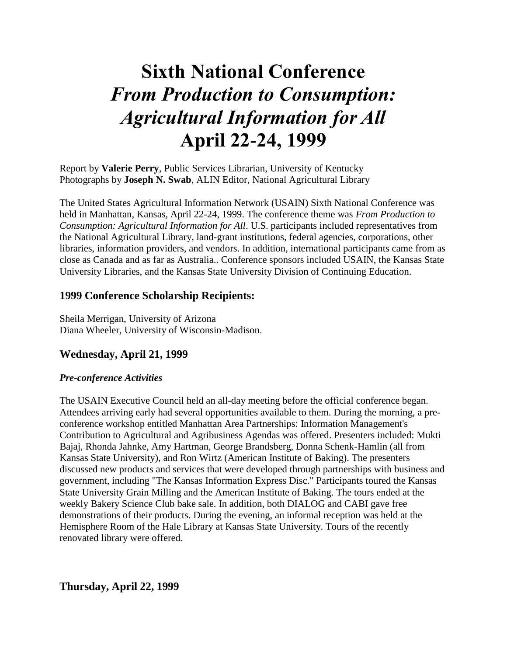# **Sixth National Conference** *From Production to Consumption: Agricultural Information for All*  **April 22-24, 1999**

Report by **Valerie Perry**, Public Services Librarian, University of Kentucky Photographs by **Joseph N. Swab**, ALIN Editor, National Agricultural Library

The United States Agricultural Information Network (USAIN) Sixth National Conference was held in Manhattan, Kansas, April 22-24, 1999. The conference theme was *From Production to Consumption: Agricultural Information for All*. U.S. participants included representatives from the National Agricultural Library, land-grant institutions, federal agencies, corporations, other libraries, information providers, and vendors. In addition, international participants came from as close as Canada and as far as Australia.. Conference sponsors included USAIN, the Kansas State University Libraries, and the Kansas State University Division of Continuing Education.

# **1999 Conference Scholarship Recipients:**

Sheila Merrigan, University of Arizona Diana Wheeler, University of Wisconsin-Madison.

# **Wednesday, April 21, 1999**

## *Pre-conference Activities*

The USAIN Executive Council held an all-day meeting before the official conference began. Attendees arriving early had several opportunities available to them. During the morning, a preconference workshop entitled Manhattan Area Partnerships: Information Management's Contribution to Agricultural and Agribusiness Agendas was offered. Presenters included: Mukti Bajaj, Rhonda Jahnke, Amy Hartman, George Brandsberg, Donna Schenk-Hamlin (all from Kansas State University), and Ron Wirtz (American Institute of Baking). The presenters discussed new products and services that were developed through partnerships with business and government, including "The Kansas Information Express Disc." Participants toured the Kansas State University Grain Milling and the American Institute of Baking. The tours ended at the weekly Bakery Science Club bake sale. In addition, both DIALOG and CABI gave free demonstrations of their products. During the evening, an informal reception was held at the Hemisphere Room of the Hale Library at Kansas State University. Tours of the recently renovated library were offered.

**Thursday, April 22, 1999**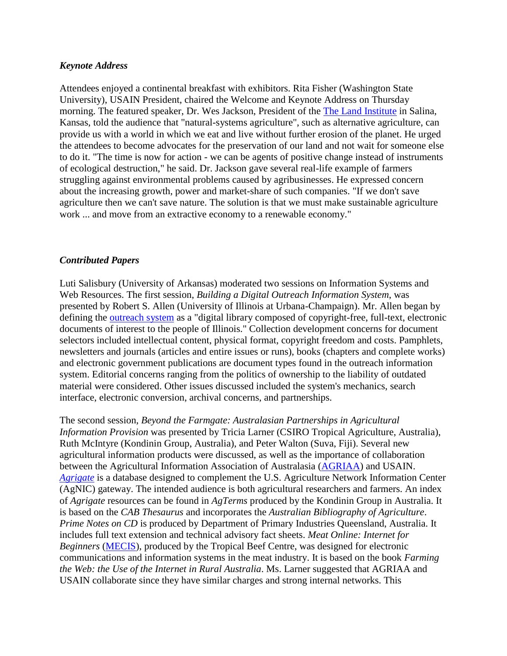#### *Keynote Address*

Attendees enjoyed a continental breakfast with exhibitors. Rita Fisher (Washington State University), USAIN President, chaired the Welcome and Keynote Address on Thursday morning. The featured speaker, Dr. Wes Jackson, President of the The Land Institute in Salina, Kansas, told the audience that "natural-systems agriculture", such as alternative agriculture, can provide us with a world in which we eat and live without further erosion of the planet. He urged the attendees to become advocates for the preservation of our land and not wait for someone else to do it. "The time is now for action - we can be agents of positive change instead of instruments of ecological destruction," he said. Dr. Jackson gave several real-life example of farmers struggling against environmental problems caused by agribusinesses. He expressed concern about the increasing growth, power and market-share of such companies. "If we don't save agriculture then we can't save nature. The solution is that we must make sustainable agriculture work ... and move from an extractive economy to a renewable economy."

#### *Contributed Papers*

Luti Salisbury (University of Arkansas) moderated two sessions on Information Systems and Web Resources. The first session, *Building a Digital Outreach Information System*, was presented by Robert S. Allen (University of Illinois at Urbana-Champaign). Mr. Allen began by defining the [outreach system](http://web.aces.uiuc.edu/aim/diglib) as a "digital library composed of copyright-free, full-text, electronic documents of interest to the people of Illinois." Collection development concerns for document selectors included intellectual content, physical format, copyright freedom and costs. Pamphlets, newsletters and journals (articles and entire issues or runs), books (chapters and complete works) and electronic government publications are document types found in the outreach information system. Editorial concerns ranging from the politics of ownership to the liability of outdated material were considered. Other issues discussed included the system's mechanics, search interface, electronic conversion, archival concerns, and partnerships.

The second session, *Beyond the Farmgate: Australasian Partnerships in Agricultural Information Provision* was presented by Tricia Larner (CSIRO Tropical Agriculture, Australia), Ruth McIntyre (Kondinin Group, Australia), and Peter Walton (Suva, Fiji). Several new agricultural information products were discussed, as well as the importance of collaboration between the Agricultural Information Association of Australasia (AGRIAA) and USAIN. *[Agrigate](http://www.agrigate.edu.au/)* is a database designed to complement the U.S. Agriculture Network Information Center (AgNIC) gateway. The intended audience is both agricultural researchers and farmers. An index of *Agrigate* resources can be found in *AgTerms* produced by the Kondinin Group in Australia. It is based on the *CAB Thesaurus* and incorporates the *Australian Bibliography of Agriculture*. *Prime Notes on CD* is produced by Department of Primary Industries Queensland, Australia. It includes full text extension and technical advisory fact sheets. *Meat Online: Internet for Beginners* [\(MECIS\)](http://mecis.cqu.edu.au/), produced by the Tropical Beef Centre, was designed for electronic communications and information systems in the meat industry. It is based on the book *Farming the Web: the Use of the Internet in Rural Australia*. Ms. Larner suggested that AGRIAA and USAIN collaborate since they have similar charges and strong internal networks. This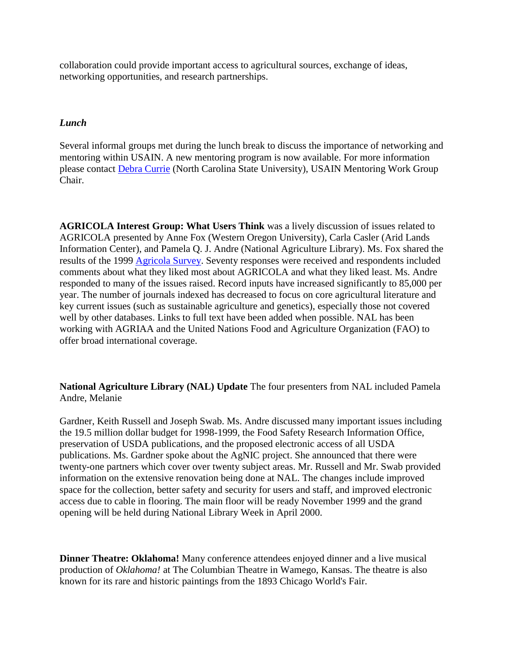collaboration could provide important access to agricultural sources, exchange of ideas, networking opportunities, and research partnerships.

## *Lunch*

Several informal groups met during the lunch break to discuss the importance of networking and mentoring within USAIN. A new mentoring program is now available. For more information please contact [Debra Currie](mailto:debbie_currie@library.lib.ncsu.edu) (North Carolina State University), USAIN Mentoring Work Group Chair.

**AGRICOLA Interest Group: What Users Think** was a lively discussion of issues related to AGRICOLA presented by Anne Fox (Western Oregon University), Carla Casler (Arid Lands Information Center), and Pamela Q. J. Andre (National Agriculture Library). Ms. Fox shared the results of the 1999 [Agricola Survey.](http://usain.org/AGRICOLA/agricolasurvproj.html) Seventy responses were received and respondents included comments about what they liked most about AGRICOLA and what they liked least. Ms. Andre responded to many of the issues raised. Record inputs have increased significantly to 85,000 per year. The number of journals indexed has decreased to focus on core agricultural literature and key current issues (such as sustainable agriculture and genetics), especially those not covered well by other databases. Links to full text have been added when possible. NAL has been working with AGRIAA and the United Nations Food and Agriculture Organization (FAO) to offer broad international coverage.

**National Agriculture Library (NAL) Update** The four presenters from NAL included Pamela Andre, Melanie

Gardner, Keith Russell and Joseph Swab. Ms. Andre discussed many important issues including the 19.5 million dollar budget for 1998-1999, the Food Safety Research Information Office, preservation of USDA publications, and the proposed electronic access of all USDA publications. Ms. Gardner spoke about the AgNIC project. She announced that there were twenty-one partners which cover over twenty subject areas. Mr. Russell and Mr. Swab provided information on the extensive renovation being done at NAL. The changes include improved space for the collection, better safety and security for users and staff, and improved electronic access due to cable in flooring. The main floor will be ready November 1999 and the grand opening will be held during National Library Week in April 2000.

**Dinner Theatre: Oklahoma!** Many conference attendees enjoyed dinner and a live musical production of *Oklahoma!* at The Columbian Theatre in Wamego, Kansas. The theatre is also known for its rare and historic paintings from the 1893 Chicago World's Fair.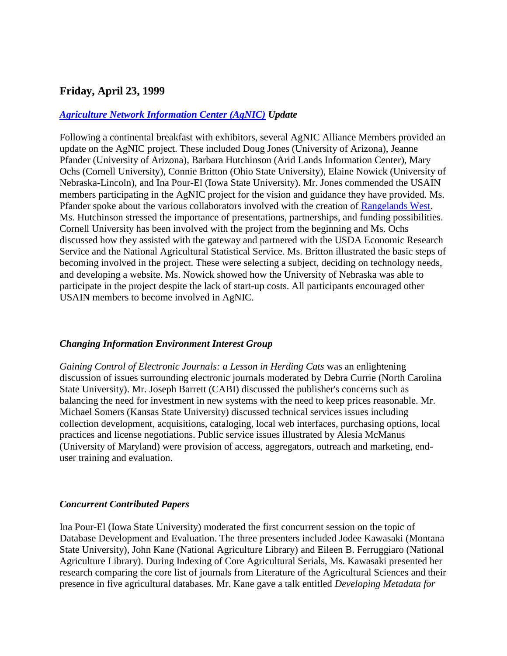## **Friday, April 23, 1999**

#### *[Agriculture Network Information Center \(AgNIC\)](http://www.agnic.org/) Update*

Following a continental breakfast with exhibitors, several AgNIC Alliance Members provided an update on the AgNIC project. These included Doug Jones (University of Arizona), Jeanne Pfander (University of Arizona), Barbara Hutchinson (Arid Lands Information Center), Mary Ochs (Cornell University), Connie Britton (Ohio State University), Elaine Nowick (University of Nebraska-Lincoln), and Ina Pour-El (Iowa State University). Mr. Jones commended the USAIN members participating in the AgNIC project for the vision and guidance they have provided. Ms. Pfander spoke about the various collaborators involved with the creation of [Rangelands West.](http://rangelandswest.org/) Ms. Hutchinson stressed the importance of presentations, partnerships, and funding possibilities. Cornell University has been involved with the project from the beginning and Ms. Ochs discussed how they assisted with the gateway and partnered with the USDA Economic Research Service and the National Agricultural Statistical Service. Ms. Britton illustrated the basic steps of becoming involved in the project. These were selecting a subject, deciding on technology needs, and developing a website. Ms. Nowick showed how the University of Nebraska was able to participate in the project despite the lack of start-up costs. All participants encouraged other USAIN members to become involved in AgNIC.

#### *Changing Information Environment Interest Group*

*Gaining Control of Electronic Journals: a Lesson in Herding Cats* was an enlightening discussion of issues surrounding electronic journals moderated by Debra Currie (North Carolina State University). Mr. Joseph Barrett (CABI) discussed the publisher's concerns such as balancing the need for investment in new systems with the need to keep prices reasonable. Mr. Michael Somers (Kansas State University) discussed technical services issues including collection development, acquisitions, cataloging, local web interfaces, purchasing options, local practices and license negotiations. Public service issues illustrated by Alesia McManus (University of Maryland) were provision of access, aggregators, outreach and marketing, enduser training and evaluation.

#### *Concurrent Contributed Papers*

Ina Pour-El (Iowa State University) moderated the first concurrent session on the topic of Database Development and Evaluation. The three presenters included Jodee Kawasaki (Montana State University), John Kane (National Agriculture Library) and Eileen B. Ferruggiaro (National Agriculture Library). During Indexing of Core Agricultural Serials, Ms. Kawasaki presented her research comparing the core list of journals from Literature of the Agricultural Sciences and their presence in five agricultural databases. Mr. Kane gave a talk entitled *Developing Metadata for*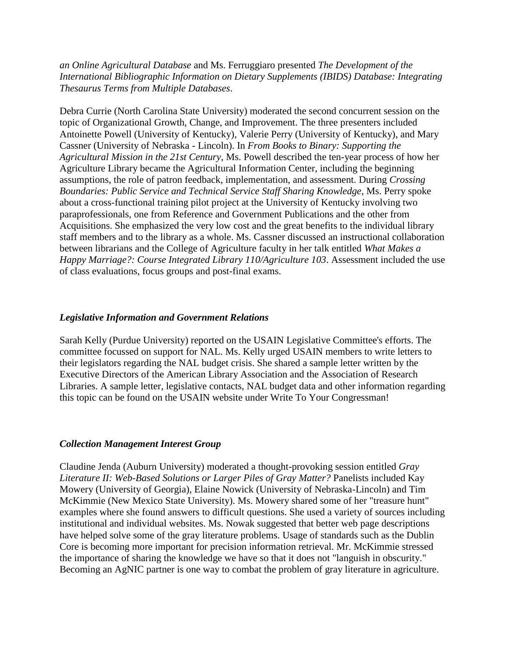*an Online Agricultural Database* and Ms. Ferruggiaro presented *The Development of the International Bibliographic Information on Dietary Supplements (IBIDS) Database: Integrating Thesaurus Terms from Multiple Databases*.

Debra Currie (North Carolina State University) moderated the second concurrent session on the topic of Organizational Growth, Change, and Improvement. The three presenters included Antoinette Powell (University of Kentucky), Valerie Perry (University of Kentucky), and Mary Cassner (University of Nebraska - Lincoln). In *From Books to Binary: Supporting the Agricultural Mission in the 21st Century*, Ms. Powell described the ten-year process of how her Agriculture Library became the Agricultural Information Center, including the beginning assumptions, the role of patron feedback, implementation, and assessment. During *Crossing Boundaries: Public Service and Technical Service Staff Sharing Knowledge*, Ms. Perry spoke about a cross-functional training pilot project at the University of Kentucky involving two paraprofessionals, one from Reference and Government Publications and the other from Acquisitions. She emphasized the very low cost and the great benefits to the individual library staff members and to the library as a whole. Ms. Cassner discussed an instructional collaboration between librarians and the College of Agriculture faculty in her talk entitled *What Makes a Happy Marriage?: Course Integrated Library 110/Agriculture 103*. Assessment included the use of class evaluations, focus groups and post-final exams.

#### *Legislative Information and Government Relations*

Sarah Kelly (Purdue University) reported on the USAIN Legislative Committee's efforts. The committee focussed on support for NAL. Ms. Kelly urged USAIN members to write letters to their legislators regarding the NAL budget crisis. She shared a sample letter written by the Executive Directors of the American Library Association and the Association of Research Libraries. A sample letter, legislative contacts, NAL budget data and other information regarding this topic can be found on the USAIN website under Write To Your Congressman!

#### *Collection Management Interest Group*

Claudine Jenda (Auburn University) moderated a thought-provoking session entitled *Gray Literature II: Web-Based Solutions or Larger Piles of Gray Matter?* Panelists included Kay Mowery (University of Georgia), Elaine Nowick (University of Nebraska-Lincoln) and Tim McKimmie (New Mexico State University). Ms. Mowery shared some of her "treasure hunt" examples where she found answers to difficult questions. She used a variety of sources including institutional and individual websites. Ms. Nowak suggested that better web page descriptions have helped solve some of the gray literature problems. Usage of standards such as the Dublin Core is becoming more important for precision information retrieval. Mr. McKimmie stressed the importance of sharing the knowledge we have so that it does not "languish in obscurity." Becoming an AgNIC partner is one way to combat the problem of gray literature in agriculture.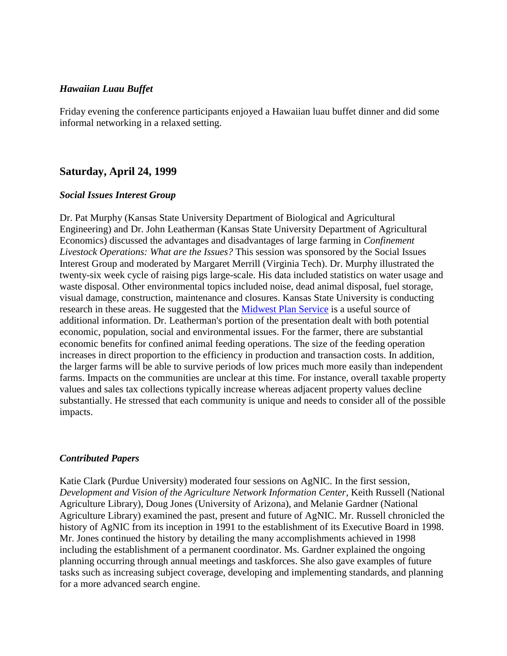#### *Hawaiian Luau Buffet*

Friday evening the conference participants enjoyed a Hawaiian luau buffet dinner and did some informal networking in a relaxed setting.

## **Saturday, April 24, 1999**

#### *Social Issues Interest Group*

Dr. Pat Murphy (Kansas State University Department of Biological and Agricultural Engineering) and Dr. John Leatherman (Kansas State University Department of Agricultural Economics) discussed the advantages and disadvantages of large farming in *Confinement Livestock Operations: What are the Issues?* This session was sponsored by the Social Issues Interest Group and moderated by Margaret Merrill (Virginia Tech). Dr. Murphy illustrated the twenty-six week cycle of raising pigs large-scale. His data included statistics on water usage and waste disposal. Other environmental topics included noise, dead animal disposal, fuel storage, visual damage, construction, maintenance and closures. Kansas State University is conducting research in these areas. He suggested that the [Midwest Plan Service](http://www.mwpshq.org/) is a useful source of additional information. Dr. Leatherman's portion of the presentation dealt with both potential economic, population, social and environmental issues. For the farmer, there are substantial economic benefits for confined animal feeding operations. The size of the feeding operation increases in direct proportion to the efficiency in production and transaction costs. In addition, the larger farms will be able to survive periods of low prices much more easily than independent farms. Impacts on the communities are unclear at this time. For instance, overall taxable property values and sales tax collections typically increase whereas adjacent property values decline substantially. He stressed that each community is unique and needs to consider all of the possible impacts.

#### *Contributed Papers*

Katie Clark (Purdue University) moderated four sessions on AgNIC. In the first session, *Development and Vision of the Agriculture Network Information Center*, Keith Russell (National Agriculture Library), Doug Jones (University of Arizona), and Melanie Gardner (National Agriculture Library) examined the past, present and future of AgNIC. Mr. Russell chronicled the history of AgNIC from its inception in 1991 to the establishment of its Executive Board in 1998. Mr. Jones continued the history by detailing the many accomplishments achieved in 1998 including the establishment of a permanent coordinator. Ms. Gardner explained the ongoing planning occurring through annual meetings and taskforces. She also gave examples of future tasks such as increasing subject coverage, developing and implementing standards, and planning for a more advanced search engine.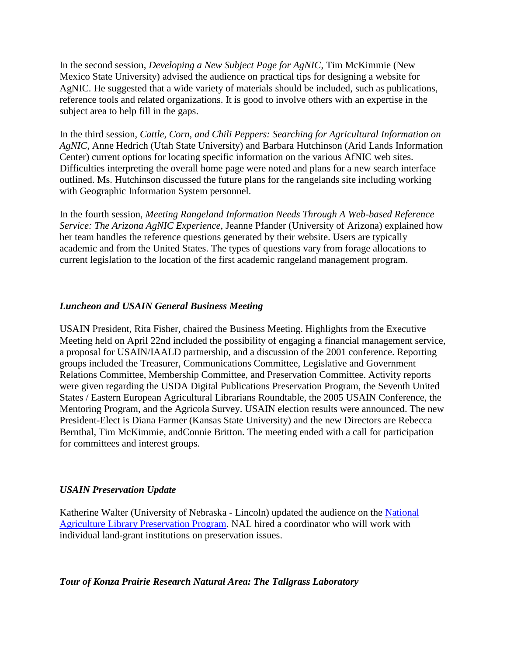In the second session, *Developing a New Subject Page for AgNIC*, Tim McKimmie (New Mexico State University) advised the audience on practical tips for designing a website for AgNIC. He suggested that a wide variety of materials should be included, such as publications, reference tools and related organizations. It is good to involve others with an expertise in the subject area to help fill in the gaps.

In the third session, *Cattle, Corn, and Chili Peppers: Searching for Agricultural Information on AgNIC*, Anne Hedrich (Utah State University) and Barbara Hutchinson (Arid Lands Information Center) current options for locating specific information on the various AfNIC web sites. Difficulties interpreting the overall home page were noted and plans for a new search interface outlined. Ms. Hutchinson discussed the future plans for the rangelands site including working with Geographic Information System personnel.

In the fourth session, *Meeting Rangeland Information Needs Through A Web-based Reference Service: The Arizona AgNIC Experience*, Jeanne Pfander (University of Arizona) explained how her team handles the reference questions generated by their website. Users are typically academic and from the United States. The types of questions vary from forage allocations to current legislation to the location of the first academic rangeland management program.

## *Luncheon and USAIN General Business Meeting*

USAIN President, Rita Fisher, chaired the Business Meeting. Highlights from the Executive Meeting held on April 22nd included the possibility of engaging a financial management service, a proposal for USAIN/IAALD partnership, and a discussion of the 2001 conference. Reporting groups included the Treasurer, Communications Committee, Legislative and Government Relations Committee, Membership Committee, and Preservation Committee. Activity reports were given regarding the USDA Digital Publications Preservation Program, the Seventh United States / Eastern European Agricultural Librarians Roundtable, the 2005 USAIN Conference, the Mentoring Program, and the Agricola Survey. USAIN election results were announced. The new President-Elect is Diana Farmer (Kansas State University) and the new Directors are Rebecca Bernthal, Tim McKimmie, andConnie Britton. The meeting ended with a call for participation for committees and interest groups.

## *USAIN Preservation Update*

Katherine Walter (University of Nebraska - Lincoln) updated the audience on the [National](http://www.nal.usda.gov/preserve/)  [Agriculture Library Preservation Program.](http://www.nal.usda.gov/preserve/) NAL hired a coordinator who will work with individual land-grant institutions on preservation issues.

#### *Tour of Konza Prairie Research Natural Area: The Tallgrass Laboratory*